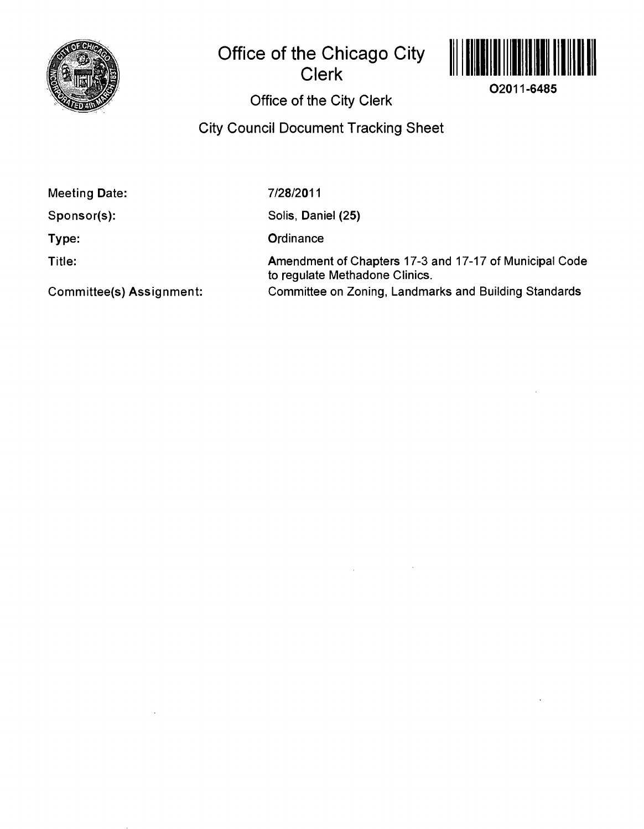

# **Office of the Chicago City Clerk**



**O2011-6485** 

## **Office of the City Clerk**

**City Council Document Tracking Sheet** 

**Meeting Date:** 

**Sponsor(s):** 

**Type:** 

**Title:** 

7/28/2011

Solis, Daniel (25)

**Ordinance** 

Amendment of Chapters 17-3 and 17-17 of Municipal Code to regulate Methadone Clinics. Committee on Zoning, Landmarks and Building Standards

**Committee(s) Assignment:**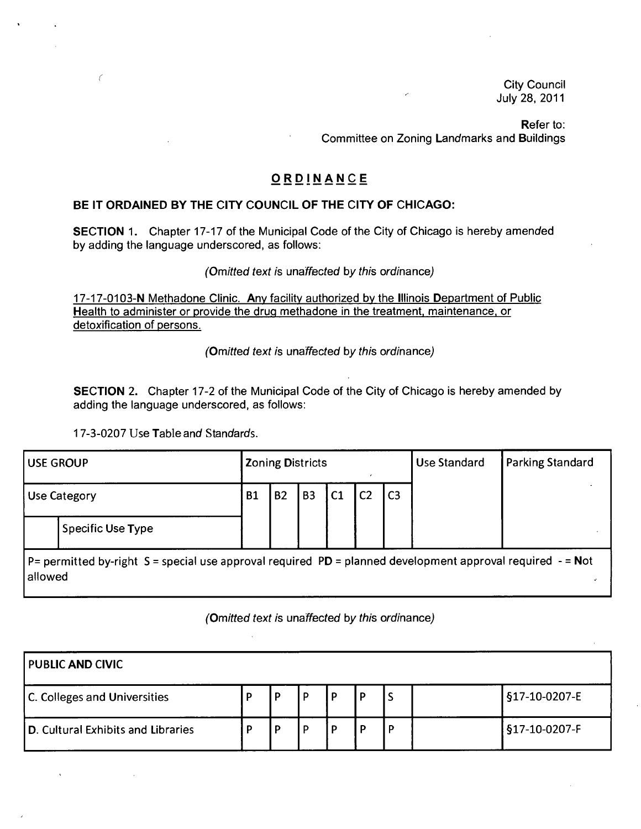City Council July 28, 2011

Refer to: Committee on Zoning Landmarks and Buildings

### **O RDiJN AN C E**

### **BE IT ORDAINED BY THE CITY COUNCIL OF THE CITY OF CHICAGO:**

SECTION 1. Chapter 17-17 of the Municipal Code of the City of Chicago is hereby amended by adding the language underscored, as follows:

(Omitted text is unaffected by this ordinance)

17-17-0103-N Methadone Clinic. Any facility authorized by the Illinois Department of Public Health to administer or provide the drug methadone in the treatment, maintenance, or detoxification of persons.

(Omitted text is unaffected by this ordinance)

SECTION 2. Chapter 17-2 of the Municipal Code of the City of Chicago is hereby amended by adding the language underscored, as follows:

17-3-0207 Use Table and Standards.

 $\epsilon$ 

| <b>USE GROUP</b>                                                                                                        |                   |           | <b>Zoning Districts</b> |           |                |                |                | <b>Use Standard</b> | <b>Parking Standard</b> |
|-------------------------------------------------------------------------------------------------------------------------|-------------------|-----------|-------------------------|-----------|----------------|----------------|----------------|---------------------|-------------------------|
| <b>Use Category</b>                                                                                                     |                   | <b>B1</b> | <b>B2</b>               | <b>B3</b> | C <sub>1</sub> | C <sub>2</sub> | C <sub>3</sub> |                     |                         |
|                                                                                                                         | Specific Use Type |           |                         |           |                |                |                |                     |                         |
| P= permitted by-right S = special use approval required PD = planned development approval required $-$ = Not<br>allowed |                   |           |                         |           |                |                |                |                     |                         |

#### (Omitted text is unaffected by this ordinance)

| <b>PUBLIC AND CIVIC</b>             |  |   |   |   |  |   |  |               |
|-------------------------------------|--|---|---|---|--|---|--|---------------|
| <b>C. Colleges and Universities</b> |  | D | D | ם |  | w |  | §17-10-0207-E |
| D. Cultural Exhibits and Libraries  |  | P | D |   |  | D |  | §17-10-0207-F |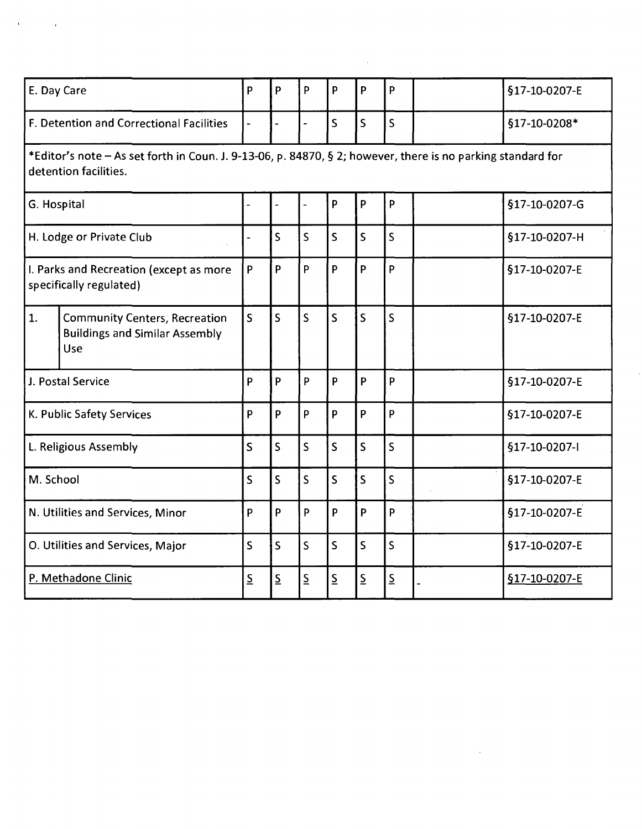| E. Day Care                                                                                                                          |                                                                                      | P                        | P                        | P                                    | P                       | P                       | P                       |  | §17-10-0207-E |
|--------------------------------------------------------------------------------------------------------------------------------------|--------------------------------------------------------------------------------------|--------------------------|--------------------------|--------------------------------------|-------------------------|-------------------------|-------------------------|--|---------------|
| <b>F. Detention and Correctional Facilities</b>                                                                                      |                                                                                      |                          |                          |                                      | $\overline{\mathsf{S}}$ | S                       | $\overline{\mathsf{S}}$ |  | §17-10-0208*  |
| *Editor's note - As set forth in Coun. J. 9-13-06, p. 84870, § 2; however, there is no parking standard for<br>detention facilities. |                                                                                      |                          |                          |                                      |                         |                         |                         |  |               |
| G. Hospital                                                                                                                          |                                                                                      |                          |                          |                                      | P                       | $\mathsf{P}$            | P                       |  | §17-10-0207-G |
| H. Lodge or Private Club                                                                                                             |                                                                                      |                          | S                        | $\overline{\mathsf{S}}$              | $\mathsf{S}$            | $\mathsf S$             | $\mathsf{S}$            |  | §17-10-0207-H |
| I. Parks and Recreation (except as more<br>specifically regulated)                                                                   |                                                                                      | P                        | $\mathsf{P}$             | P                                    | P                       | P                       | P                       |  | §17-10-0207-E |
| 1.                                                                                                                                   | <b>Community Centers, Recreation</b><br><b>Buildings and Similar Assembly</b><br>Use | $\overline{\mathsf{S}}$  | $\mathsf{S}$             | $\overline{\mathsf{S}}$              | $\overline{\mathsf{S}}$ | $\mathsf{S}$            | $\mathsf{S}$            |  | §17-10-0207-E |
| J. Postal Service                                                                                                                    |                                                                                      | P                        | $\mathsf{P}$             | P                                    | P                       | P                       | P                       |  | §17-10-0207-E |
| K. Public Safety Services                                                                                                            |                                                                                      | P                        | $\mathsf{P}$             | P.                                   | p                       | P                       | P                       |  | §17-10-0207-E |
| L. Religious Assembly                                                                                                                |                                                                                      | $\overline{\mathsf{S}}$  | $\mathsf{S}$             | $\overline{\mathsf{S}}$              | $\overline{\mathsf{S}}$ | $\mathsf{S}$            | $\overline{\mathsf{S}}$ |  | §17-10-0207-I |
| M. School                                                                                                                            |                                                                                      | $\overline{\mathsf{S}}$  | $\mathsf{S}$             | $\overline{\mathsf{S}}$              | $\overline{\mathsf{S}}$ | $\overline{\mathsf{S}}$ | $\overline{\mathsf{S}}$ |  | §17-10-0207-E |
| N. Utilities and Services, Minor                                                                                                     |                                                                                      | P                        | P                        | P                                    | p                       | P                       | P                       |  | §17-10-0207-E |
| O. Utilities and Services, Major                                                                                                     |                                                                                      | $\mathsf{S}$             | $\mathsf{S}$             | $\overline{\mathsf{S}}$              | $\overline{\mathsf{S}}$ | $\overline{\mathsf{S}}$ | $\mathsf{S}$            |  | §17-10-0207-E |
| P. Methadone Clinic                                                                                                                  |                                                                                      | $\underline{\mathsf{S}}$ | $\underline{\mathsf{S}}$ | $\underline{\underline{\mathsf{S}}}$ | $\overline{S}$          | $\overline{S}$          | $\overline{S}$          |  | §17-10-0207-E |

 $\frac{1}{2}$ 

 $\mathcal{L}^{\text{max}}_{\text{max}}$  and  $\mathcal{L}^{\text{max}}_{\text{max}}$ 

 $\label{eq:3.1} \mathcal{A} = \mathcal{A} \left( \begin{smallmatrix} 1 & 0 & 0 \\ 0 & 0 & 0 \\ 0 & 0 & 0 \\ 0 & 0 & 0 \\ 0 & 0 & 0 \\ 0 & 0 & 0 \\ 0 & 0 & 0 \\ 0 & 0 & 0 \\ 0 & 0 & 0 & 0 \\ 0 & 0 & 0 & 0 \\ 0 & 0 & 0 & 0 \\ 0 & 0 & 0 & 0 \\ 0 & 0 & 0 & 0 & 0 \\ 0 & 0 & 0 & 0 & 0 \\ 0 & 0 & 0 & 0 & 0 \\ 0 & 0 & 0 & 0 & 0 & 0 \\ 0 & 0 &$